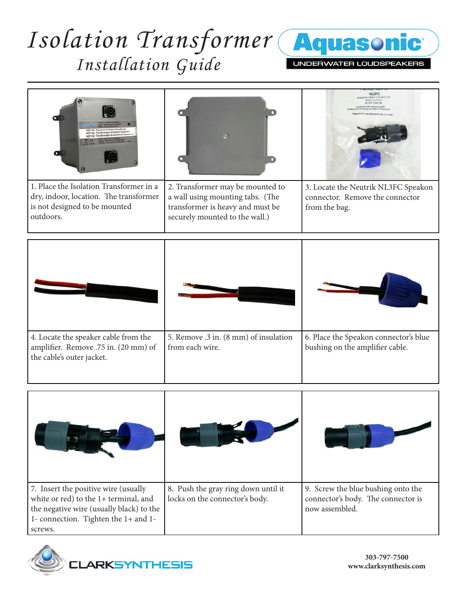## *Isolation Transformer Installation Guide*



UNDERWATER LOUDSPEAKERS



outdoors.

transformer is heavy and must be securely mounted to the wall.)

from the bag.







**303-797-7500 www.clarksynthesis.com**